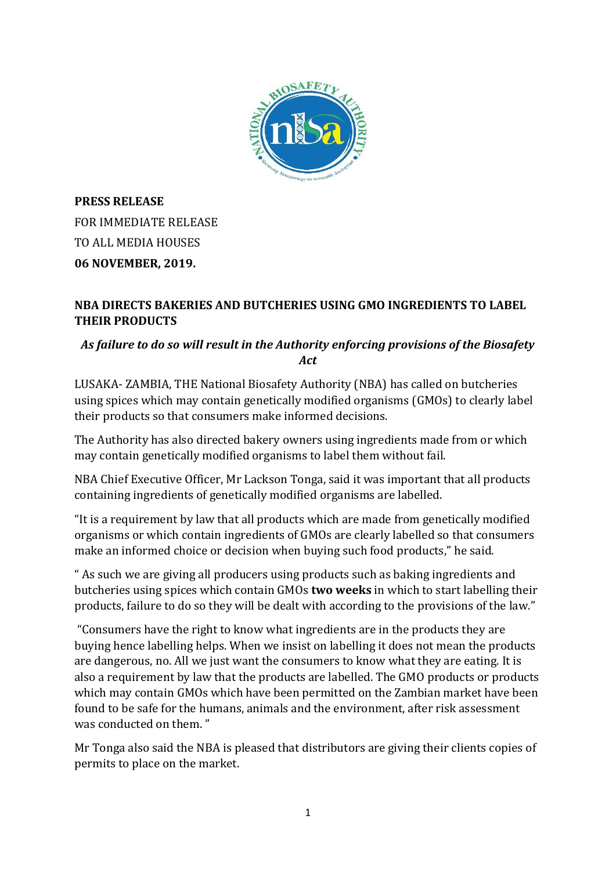

**PRESS RELEASE** FOR IMMEDIATE RELEASE TO ALL MEDIA HOUSES **06 NOVEMBER, 2019.**

### **NBA DIRECTS BAKERIES AND BUTCHERIES USING GMO INGREDIENTS TO LABEL THEIR PRODUCTS**

## *As failure to do so will result in the Authority enforcing provisions of the Biosafety Act*

LUSAKA- ZAMBIA, THE National Biosafety Authority (NBA) has called on butcheries using spices which may contain genetically modified organisms (GMOs) to clearly label their products so that consumers make informed decisions.

The Authority has also directed bakery owners using ingredients made from or which may contain genetically modified organisms to label them without fail.

NBA Chief Executive Officer, Mr Lackson Tonga, said it was important that all products containing ingredients of genetically modified organisms are labelled.

"It is a requirement by law that all products which are made from genetically modified organisms or which contain ingredients of GMOs are clearly labelled so that consumers make an informed choice or decision when buying such food products," he said.

" As such we are giving all producers using products such as baking ingredients and butcheries using spices which contain GMOs **two weeks** in which to start labelling their products, failure to do so they will be dealt with according to the provisions of the law."

"Consumers have the right to know what ingredients are in the products they are buying hence labelling helps. When we insist on labelling it does not mean the products are dangerous, no. All we just want the consumers to know what they are eating. It is also a requirement by law that the products are labelled. The GMO products or products which may contain GMOs which have been permitted on the Zambian market have been found to be safe for the humans, animals and the environment, after risk assessment was conducted on them. "

Mr Tonga also said the NBA is pleased that distributors are giving their clients copies of permits to place on the market.